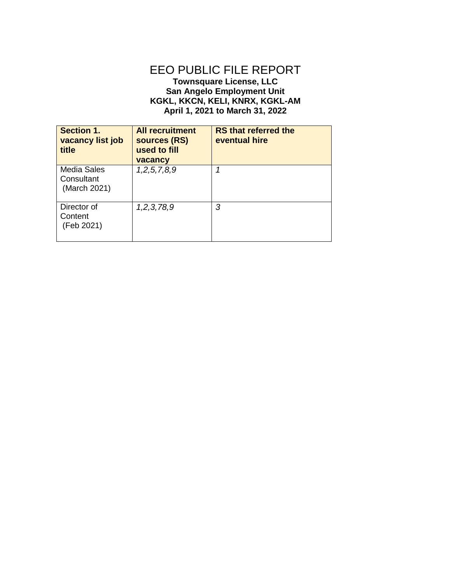## EEO PUBLIC FILE REPORT **Townsquare License, LLC San Angelo Employment Unit**

## **KGKL, KKCN, KELI, KNRX, KGKL-AM April 1, 2021 to March 31, 2022**

| <b>Section 1.</b><br>vacancy list job<br>title   | <b>All recruitment</b><br>sources (RS)<br>used to fill<br>vacancy | <b>RS that referred the</b><br>eventual hire |
|--------------------------------------------------|-------------------------------------------------------------------|----------------------------------------------|
| <b>Media Sales</b><br>Consultant<br>(March 2021) | 1, 2, 5, 7, 8, 9                                                  |                                              |
| Director of<br>Content<br>(Feb 2021)             | 1,2,3,78,9                                                        | 3                                            |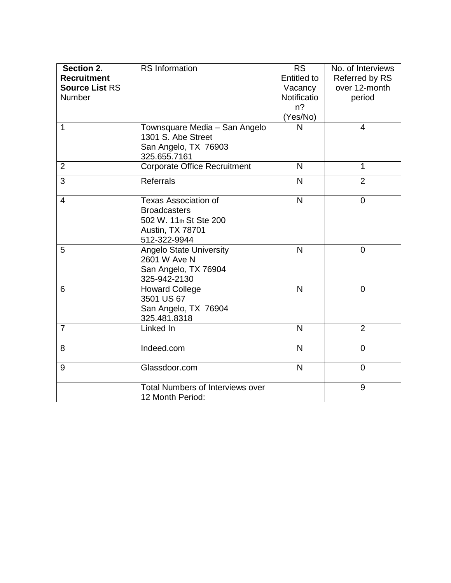| Section 2.<br><b>Recruitment</b><br><b>Source List RS</b><br>Number | <b>RS</b> Information                                                                                                   | <b>RS</b><br><b>Entitled to</b><br>Vacancy<br>Notificatio<br>$n$ ?<br>(Yes/No) | No. of Interviews<br>Referred by RS<br>over 12-month<br>period |
|---------------------------------------------------------------------|-------------------------------------------------------------------------------------------------------------------------|--------------------------------------------------------------------------------|----------------------------------------------------------------|
| 1                                                                   | Townsquare Media - San Angelo<br>1301 S. Abe Street<br>San Angelo, TX 76903<br>325.655.7161                             | N                                                                              | 4                                                              |
| $\overline{2}$                                                      | <b>Corporate Office Recruitment</b>                                                                                     | N                                                                              | $\mathbf{1}$                                                   |
| 3                                                                   | <b>Referrals</b>                                                                                                        | N                                                                              | $\overline{2}$                                                 |
| $\overline{4}$                                                      | <b>Texas Association of</b><br><b>Broadcasters</b><br>502 W. 11th St Ste 200<br><b>Austin, TX 78701</b><br>512-322-9944 | $\overline{\mathsf{N}}$                                                        | $\overline{0}$                                                 |
| 5                                                                   | <b>Angelo State University</b><br>2601 W Ave N<br>San Angelo, TX 76904<br>325-942-2130                                  | $\mathsf{N}$                                                                   | $\overline{0}$                                                 |
| 6                                                                   | <b>Howard College</b><br>3501 US 67<br>San Angelo, TX 76904<br>325.481.8318                                             | N                                                                              | $\overline{0}$                                                 |
| $\overline{7}$                                                      | Linked In                                                                                                               | $\mathsf{N}$                                                                   | $\overline{2}$                                                 |
| 8                                                                   | Indeed.com                                                                                                              | N                                                                              | $\overline{0}$                                                 |
| 9                                                                   | Glassdoor.com                                                                                                           | N                                                                              | $\overline{0}$                                                 |
|                                                                     | <b>Total Numbers of Interviews over</b><br>12 Month Period:                                                             |                                                                                | 9                                                              |